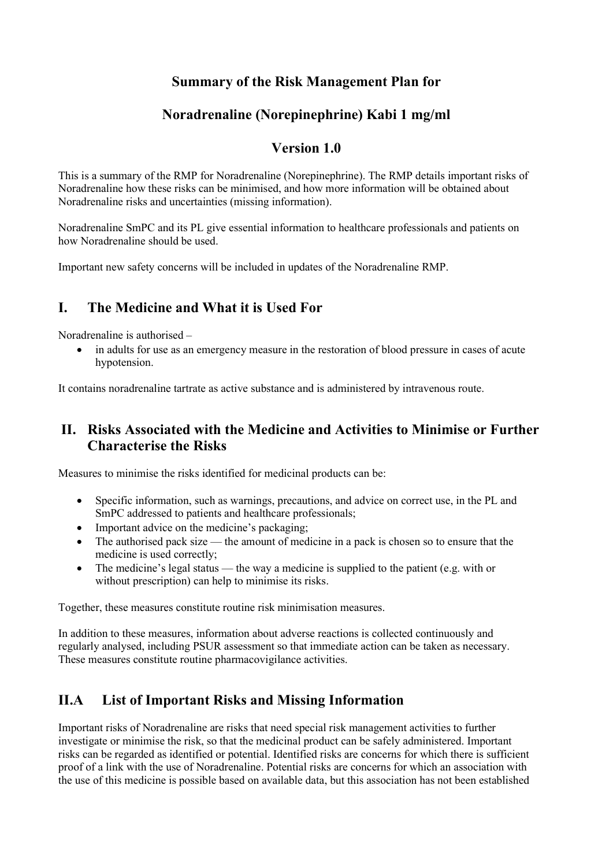### Summary of the Risk Management Plan for

### Noradrenaline (Norepinephrine) Kabi 1 mg/ml

#### Version 1.0

This is a summary of the RMP for Noradrenaline (Norepinephrine). The RMP details important risks of Noradrenaline how these risks can be minimised, and how more information will be obtained about Noradrenaline risks and uncertainties (missing information).

Noradrenaline SmPC and its PL give essential information to healthcare professionals and patients on how Noradrenaline should be used.

Important new safety concerns will be included in updates of the Noradrenaline RMP.

## I. The Medicine and What it is Used For

Noradrenaline is authorised –

 in adults for use as an emergency measure in the restoration of blood pressure in cases of acute hypotension.

It contains noradrenaline tartrate as active substance and is administered by intravenous route.

### II. Risks Associated with the Medicine and Activities to Minimise or Further Characterise the Risks

Measures to minimise the risks identified for medicinal products can be:

- Specific information, such as warnings, precautions, and advice on correct use, in the PL and SmPC addressed to patients and healthcare professionals;
- Important advice on the medicine's packaging;
- The authorised pack size the amount of medicine in a pack is chosen so to ensure that the medicine is used correctly;
- The medicine's legal status the way a medicine is supplied to the patient (e.g. with or without prescription) can help to minimise its risks.

Together, these measures constitute routine risk minimisation measures.

In addition to these measures, information about adverse reactions is collected continuously and regularly analysed, including PSUR assessment so that immediate action can be taken as necessary. These measures constitute routine pharmacovigilance activities.

# II.A List of Important Risks and Missing Information

Important risks of Noradrenaline are risks that need special risk management activities to further investigate or minimise the risk, so that the medicinal product can be safely administered. Important risks can be regarded as identified or potential. Identified risks are concerns for which there is sufficient proof of a link with the use of Noradrenaline. Potential risks are concerns for which an association with the use of this medicine is possible based on available data, but this association has not been established